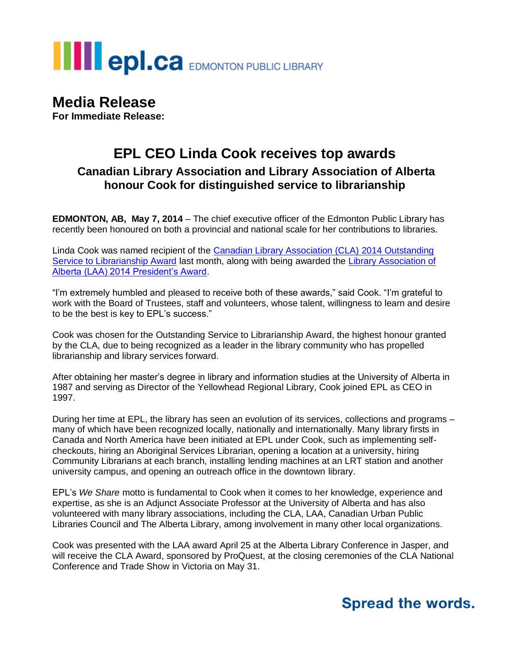# **THE POLCA** EDMONTON PUBLIC LIBRARY

## **Media Release**

**For Immediate Release:**

#### **EPL CEO Linda Cook receives top awards Canadian Library Association and Library Association of Alberta honour Cook for distinguished service to librarianship**

**EDMONTON, AB, May 7, 2014** – The chief executive officer of the Edmonton Public Library has recently been honoured on both a provincial and national scale for her contributions to libraries.

Linda Cook was named recipient of the [Canadian Library Association \(CLA\)](http://www.cla.ca/AM/Template.cfm?Section=Canadian_Library_Association_Outstanding_Service_to_Librarianship) 2014 Outstanding [Service to Librarianship Award](http://www.cla.ca/AM/Template.cfm?Section=Canadian_Library_Association_Outstanding_Service_to_Librarianship) last month, along with being awarded the [Library Association of](http://www.laa.ca/page/awards.aspx#.U2k7zXa5J8E)  [Alberta \(LAA\) 2014 President's Award.](http://www.laa.ca/page/awards.aspx#.U2k7zXa5J8E)

"I'm extremely humbled and pleased to receive both of these awards," said Cook. "I'm grateful to work with the Board of Trustees, staff and volunteers, whose talent, willingness to learn and desire to be the best is key to EPL's success."

Cook was chosen for the Outstanding Service to Librarianship Award, the highest honour granted by the CLA, due to being recognized as a leader in the library community who has propelled librarianship and library services forward.

After obtaining her master's degree in library and information studies at the University of Alberta in 1987 and serving as Director of the Yellowhead Regional Library, Cook joined EPL as CEO in 1997.

During her time at EPL, the library has seen an evolution of its services, collections and programs – many of which have been recognized locally, nationally and internationally. Many library firsts in Canada and North America have been initiated at EPL under Cook, such as implementing selfcheckouts, hiring an Aboriginal Services Librarian, opening a location at a university, hiring Community Librarians at each branch, installing lending machines at an LRT station and another university campus, and opening an outreach office in the downtown library.

EPL's *We Share* motto is fundamental to Cook when it comes to her knowledge, experience and expertise, as she is an Adjunct Associate Professor at the University of Alberta and has also volunteered with many library associations, including the CLA, LAA, Canadian Urban Public Libraries Council and The Alberta Library, among involvement in many other local organizations.

Cook was presented with the LAA award April 25 at the Alberta Library Conference in Jasper, and will receive the CLA Award, sponsored by ProQuest, at the closing ceremonies of the CLA National Conference and Trade Show in Victoria on May 31.

### **Spread the words.**